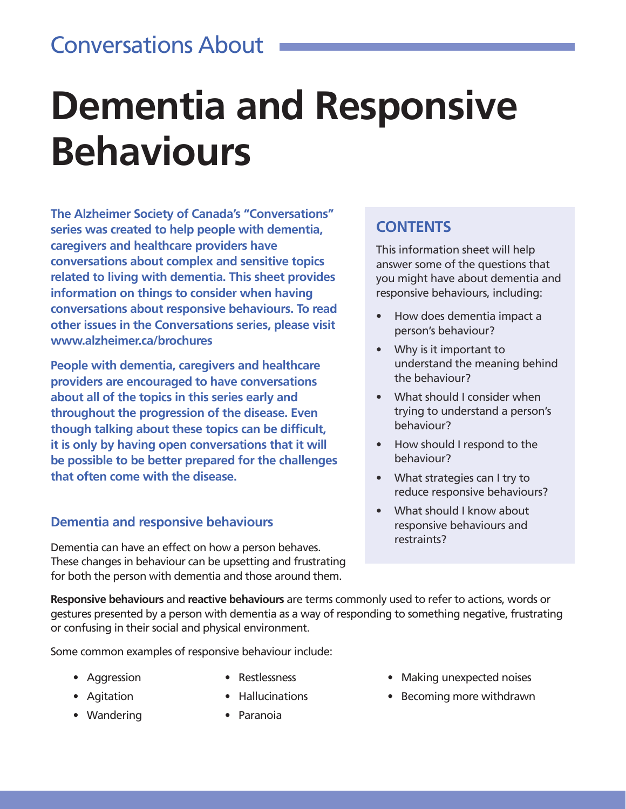### Conversations About

# **Dementia and Responsive Behaviours**

**The Alzheimer Society of Canada's "Conversations" series was created to help people with dementia, caregivers and healthcare providers have conversations about complex and sensitive topics related to living with dementia. This sheet provides information on things to consider when having conversations about responsive behaviours. To read other issues in the Conversations series, please visit www.alzheimer.ca/brochures** 

**People with dementia, caregivers and healthcare providers are encouraged to have conversations about all of the topics in this series early and throughout the progression of the disease. Even though talking about these topics can be difficult, it is only by having open conversations that it will be possible to be better prepared for the challenges that often come with the disease.**

#### **Dementia and responsive behaviours**

Dementia can have an effect on how a person behaves. These changes in behaviour can be upsetting and frustrating for both the person with dementia and those around them.

#### **CONTENTS**

This information sheet will help answer some of the questions that you might have about dementia and responsive behaviours, including:

- How does dementia impact a person's behaviour?
- Why is it important to understand the meaning behind the behaviour?
- What should I consider when trying to understand a person's behaviour?
- How should I respond to the behaviour?
- What strategies can I try to reduce responsive behaviours?
- What should I know about responsive behaviours and restraints?

**Responsive behaviours** and **reactive behaviours** are terms commonly used to refer to actions, words or gestures presented by a person with dementia as a way of responding to something negative, frustrating or confusing in their social and physical environment.

Some common examples of responsive behaviour include:

- Aggression
- Agitation
- Wandering
- Restlessness
- Hallucinations
- Paranoia
- Making unexpected noises
- Becoming more withdrawn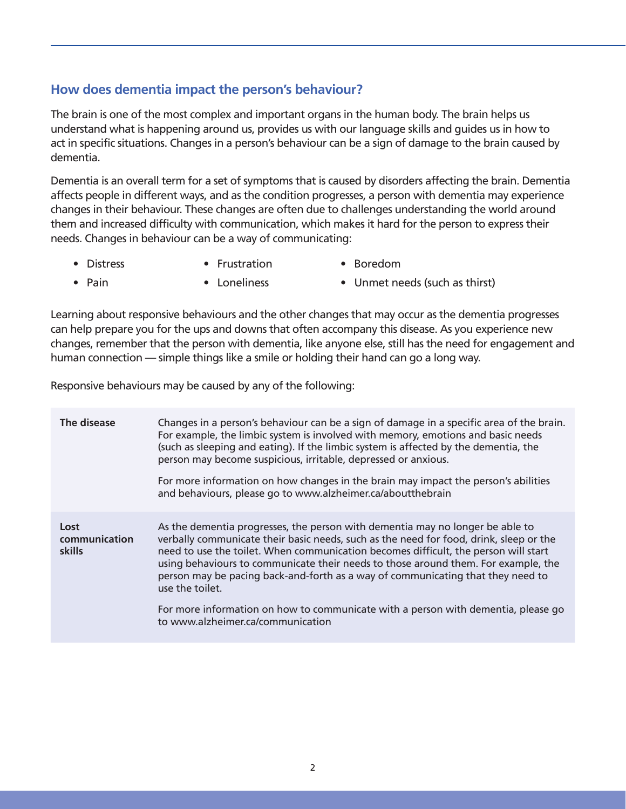#### **How does dementia impact the person's behaviour?**

The brain is one of the most complex and important organs in the human body. The brain helps us understand what is happening around us, provides us with our language skills and guides us in how to act in specific situations. Changes in a person's behaviour can be a sign of damage to the brain caused by dementia.

Dementia is an overall term for a set of symptoms that is caused by disorders affecting the brain. Dementia affects people in different ways, and as the condition progresses, a person with dementia may experience changes in their behaviour. These changes are often due to challenges understanding the world around them and increased difficulty with communication, which makes it hard for the person to express their needs. Changes in behaviour can be a way of communicating:

• Distress

• Pain

- Frustration • Loneliness
- Unmet needs (such as thirst)

• Boredom

Learning about responsive behaviours and the other changes that may occur as the dementia progresses can help prepare you for the ups and downs that often accompany this disease. As you experience new changes, remember that the person with dementia, like anyone else, still has the need for engagement and human connection — simple things like a smile or holding their hand can go a long way.

Responsive behaviours may be caused by any of the following:

| The disease                     | Changes in a person's behaviour can be a sign of damage in a specific area of the brain.<br>For example, the limbic system is involved with memory, emotions and basic needs<br>(such as sleeping and eating). If the limbic system is affected by the dementia, the<br>person may become suspicious, irritable, depressed or anxious.<br>For more information on how changes in the brain may impact the person's abilities<br>and behaviours, please go to www.alzheimer.ca/aboutthebrain                                                                                          |
|---------------------------------|--------------------------------------------------------------------------------------------------------------------------------------------------------------------------------------------------------------------------------------------------------------------------------------------------------------------------------------------------------------------------------------------------------------------------------------------------------------------------------------------------------------------------------------------------------------------------------------|
| Lost<br>communication<br>skills | As the dementia progresses, the person with dementia may no longer be able to<br>verbally communicate their basic needs, such as the need for food, drink, sleep or the<br>need to use the toilet. When communication becomes difficult, the person will start<br>using behaviours to communicate their needs to those around them. For example, the<br>person may be pacing back-and-forth as a way of communicating that they need to<br>use the toilet.<br>For more information on how to communicate with a person with dementia, please go<br>to www.alzheimer.ca/communication |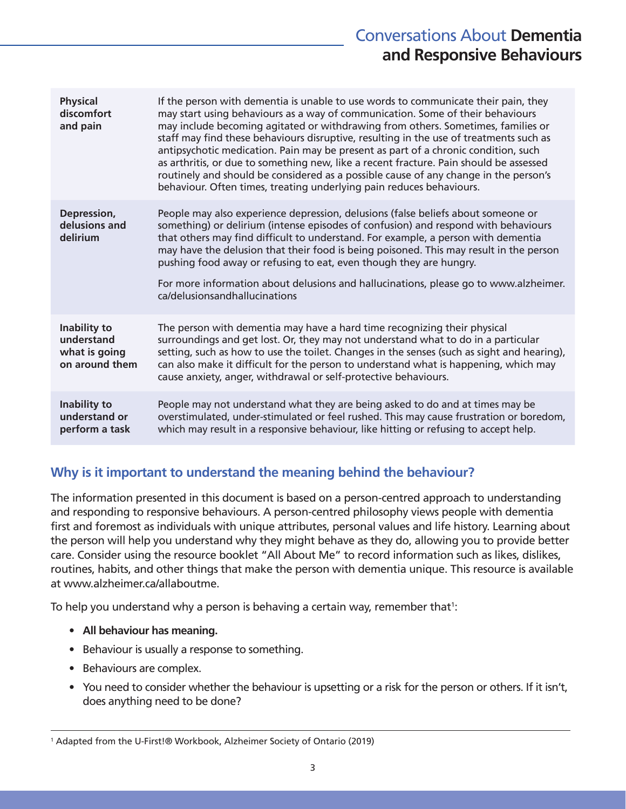#### Conversations About **Dementia and Responsive Behaviours**

| <b>Physical</b><br>discomfort<br>and pain                     | If the person with dementia is unable to use words to communicate their pain, they<br>may start using behaviours as a way of communication. Some of their behaviours<br>may include becoming agitated or withdrawing from others. Sometimes, families or<br>staff may find these behaviours disruptive, resulting in the use of treatments such as<br>antipsychotic medication. Pain may be present as part of a chronic condition, such<br>as arthritis, or due to something new, like a recent fracture. Pain should be assessed<br>routinely and should be considered as a possible cause of any change in the person's<br>behaviour. Often times, treating underlying pain reduces behaviours. |
|---------------------------------------------------------------|----------------------------------------------------------------------------------------------------------------------------------------------------------------------------------------------------------------------------------------------------------------------------------------------------------------------------------------------------------------------------------------------------------------------------------------------------------------------------------------------------------------------------------------------------------------------------------------------------------------------------------------------------------------------------------------------------|
| Depression,<br>delusions and<br>delirium                      | People may also experience depression, delusions (false beliefs about someone or<br>something) or delirium (intense episodes of confusion) and respond with behaviours<br>that others may find difficult to understand. For example, a person with dementia<br>may have the delusion that their food is being poisoned. This may result in the person<br>pushing food away or refusing to eat, even though they are hungry.<br>For more information about delusions and hallucinations, please go to www.alzheimer.<br>ca/delusionsandhallucinations                                                                                                                                               |
| Inability to<br>understand<br>what is going<br>on around them | The person with dementia may have a hard time recognizing their physical<br>surroundings and get lost. Or, they may not understand what to do in a particular<br>setting, such as how to use the toilet. Changes in the senses (such as sight and hearing),<br>can also make it difficult for the person to understand what is happening, which may<br>cause anxiety, anger, withdrawal or self-protective behaviours.                                                                                                                                                                                                                                                                             |
| Inability to<br>understand or<br>perform a task               | People may not understand what they are being asked to do and at times may be<br>overstimulated, under-stimulated or feel rushed. This may cause frustration or boredom,<br>which may result in a responsive behaviour, like hitting or refusing to accept help.                                                                                                                                                                                                                                                                                                                                                                                                                                   |

#### **Why is it important to understand the meaning behind the behaviour?**

The information presented in this document is based on a person-centred approach to understanding and responding to responsive behaviours. A person-centred philosophy views people with dementia first and foremost as individuals with unique attributes, personal values and life history. Learning about the person will help you understand why they might behave as they do, allowing you to provide better care. Consider using the resource booklet "All About Me" to record information such as likes, dislikes, routines, habits, and other things that make the person with dementia unique. This resource is available at www.alzheimer.ca/allaboutme.

To help you understand why a person is behaving a certain way, remember that $^{\rm l}$ :

- **• All behaviour has meaning.**
- Behaviour is usually a response to something.
- Behaviours are complex.
- You need to consider whether the behaviour is upsetting or a risk for the person or others. If it isn't, does anything need to be done?

<sup>1</sup> Adapted from the U-First!® Workbook, Alzheimer Society of Ontario (2019)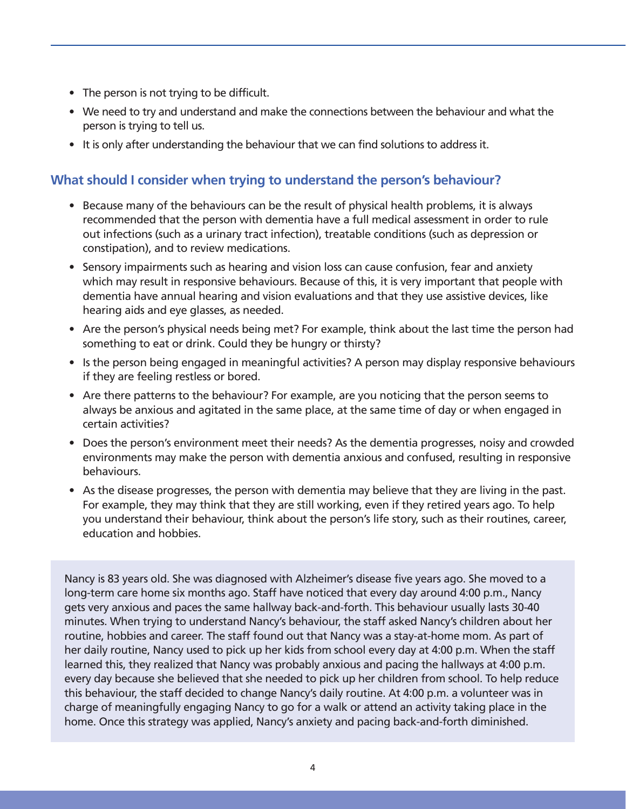- The person is not trying to be difficult.
- We need to try and understand and make the connections between the behaviour and what the person is trying to tell us.
- It is only after understanding the behaviour that we can find solutions to address it.

#### **What should I consider when trying to understand the person's behaviour?**

- Because many of the behaviours can be the result of physical health problems, it is always recommended that the person with dementia have a full medical assessment in order to rule out infections (such as a urinary tract infection), treatable conditions (such as depression or constipation), and to review medications.
- Sensory impairments such as hearing and vision loss can cause confusion, fear and anxiety which may result in responsive behaviours. Because of this, it is very important that people with dementia have annual hearing and vision evaluations and that they use assistive devices, like hearing aids and eye glasses, as needed.
- Are the person's physical needs being met? For example, think about the last time the person had something to eat or drink. Could they be hungry or thirsty?
- Is the person being engaged in meaningful activities? A person may display responsive behaviours if they are feeling restless or bored.
- Are there patterns to the behaviour? For example, are you noticing that the person seems to always be anxious and agitated in the same place, at the same time of day or when engaged in certain activities?
- Does the person's environment meet their needs? As the dementia progresses, noisy and crowded environments may make the person with dementia anxious and confused, resulting in responsive behaviours.
- As the disease progresses, the person with dementia may believe that they are living in the past. For example, they may think that they are still working, even if they retired years ago. To help you understand their behaviour, think about the person's life story, such as their routines, career, education and hobbies.

Nancy is 83 years old. She was diagnosed with Alzheimer's disease five years ago. She moved to a long-term care home six months ago. Staff have noticed that every day around 4:00 p.m., Nancy gets very anxious and paces the same hallway back-and-forth. This behaviour usually lasts 30-40 minutes. When trying to understand Nancy's behaviour, the staff asked Nancy's children about her routine, hobbies and career. The staff found out that Nancy was a stay-at-home mom. As part of her daily routine, Nancy used to pick up her kids from school every day at 4:00 p.m. When the staff learned this, they realized that Nancy was probably anxious and pacing the hallways at 4:00 p.m. every day because she believed that she needed to pick up her children from school. To help reduce this behaviour, the staff decided to change Nancy's daily routine. At 4:00 p.m. a volunteer was in charge of meaningfully engaging Nancy to go for a walk or attend an activity taking place in the home. Once this strategy was applied, Nancy's anxiety and pacing back-and-forth diminished.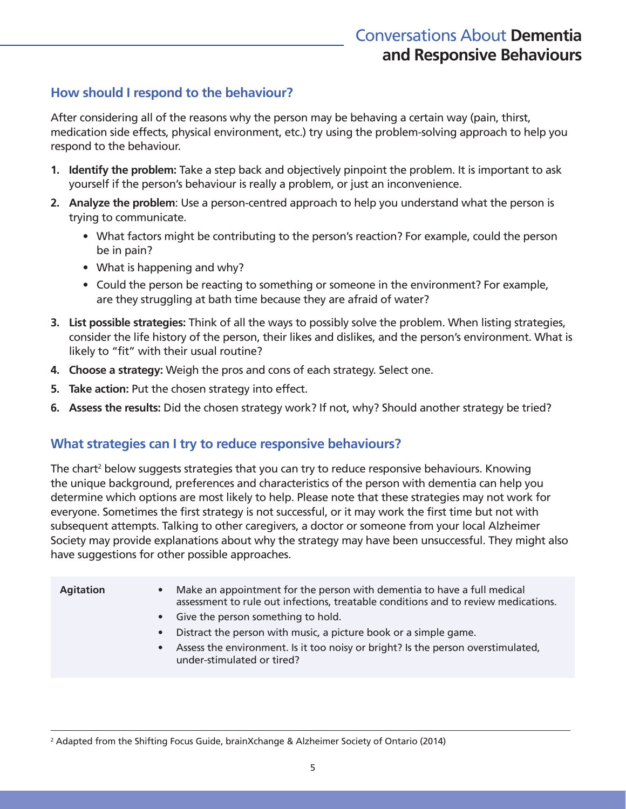#### **How should I respond to the behaviour?**

After considering all of the reasons why the person may be behaving a certain way (pain, thirst, medication side effects, physical environment, etc.) try using the problem-solving approach to help you respond to the behaviour.

- **1. Identify the problem:** Take a step back and objectively pinpoint the problem. It is important to ask yourself if the person's behaviour is really a problem, or just an inconvenience.
- **2. Analyze the problem**: Use a person-centred approach to help you understand what the person is trying to communicate.
	- What factors might be contributing to the person's reaction? For example, could the person be in pain?
	- What is happening and why?
	- Could the person be reacting to something or someone in the environment? For example, are they struggling at bath time because they are afraid of water?
- **3. List possible strategies:** Think of all the ways to possibly solve the problem. When listing strategies, consider the life history of the person, their likes and dislikes, and the person's environment. What is likely to "fit" with their usual routine?
- **4. Choose a strategy:** Weigh the pros and cons of each strategy. Select one.
- **5. Take action:** Put the chosen strategy into effect.
- **6. Assess the results:** Did the chosen strategy work? If not, why? Should another strategy be tried?

#### **What strategies can I try to reduce responsive behaviours?**

The chart<sup>2</sup> below suggests strategies that you can try to reduce responsive behaviours. Knowing the unique background, preferences and characteristics of the person with dementia can help you determine which options are most likely to help. Please note that these strategies may not work for everyone. Sometimes the first strategy is not successful, or it may work the first time but not with subsequent attempts. Talking to other caregivers, a doctor or someone from your local Alzheimer Society may provide explanations about why the strategy may have been unsuccessful. They might also have suggestions for other possible approaches.

| <b>Agitation</b> | Make an appointment for the person with dementia to have a full medical<br>$\bullet$<br>assessment to rule out infections, treatable conditions and to review medications.<br>• Give the person something to hold.<br>Distract the person with music, a picture book or a simple game.<br>$\bullet$<br>Assess the environment. Is it too noisy or bright? Is the person overstimulated,<br>$\bullet$<br>under-stimulated or tired? |
|------------------|------------------------------------------------------------------------------------------------------------------------------------------------------------------------------------------------------------------------------------------------------------------------------------------------------------------------------------------------------------------------------------------------------------------------------------|
|                  |                                                                                                                                                                                                                                                                                                                                                                                                                                    |

2 Adapted from the Shifting Focus Guide, brainXchange & Alzheimer Society of Ontario (2014)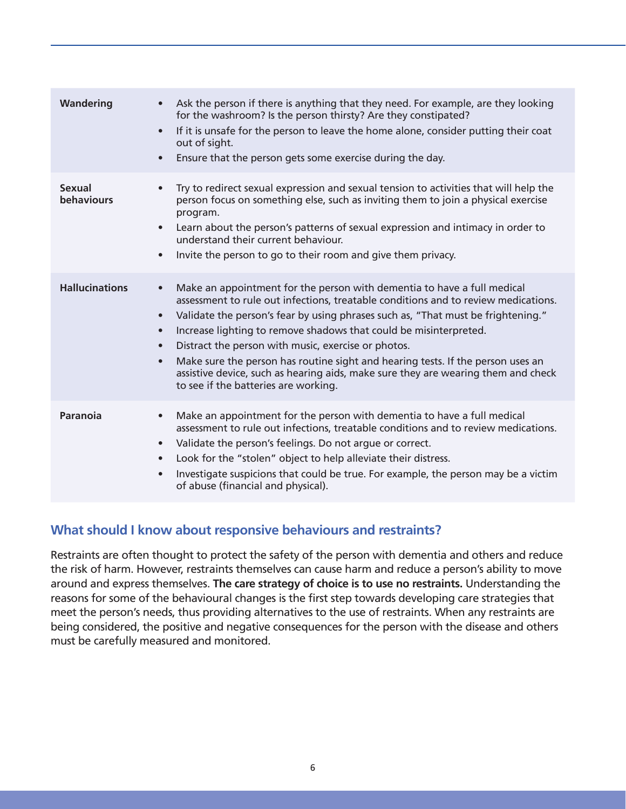| Wandering                          | Ask the person if there is anything that they need. For example, are they looking<br>for the washroom? Is the person thirsty? Are they constipated?<br>If it is unsafe for the person to leave the home alone, consider putting their coat<br>$\bullet$<br>out of sight.<br>Ensure that the person gets some exercise during the day.                                                                                                                                                                                                                                                                                                                          |
|------------------------------------|----------------------------------------------------------------------------------------------------------------------------------------------------------------------------------------------------------------------------------------------------------------------------------------------------------------------------------------------------------------------------------------------------------------------------------------------------------------------------------------------------------------------------------------------------------------------------------------------------------------------------------------------------------------|
| <b>Sexual</b><br><b>behaviours</b> | Try to redirect sexual expression and sexual tension to activities that will help the<br>person focus on something else, such as inviting them to join a physical exercise<br>program.<br>Learn about the person's patterns of sexual expression and intimacy in order to<br>$\bullet$<br>understand their current behaviour.<br>Invite the person to go to their room and give them privacy.<br>$\bullet$                                                                                                                                                                                                                                                     |
| <b>Hallucinations</b>              | Make an appointment for the person with dementia to have a full medical<br>$\bullet$<br>assessment to rule out infections, treatable conditions and to review medications.<br>Validate the person's fear by using phrases such as, "That must be frightening."<br>$\bullet$<br>Increase lighting to remove shadows that could be misinterpreted.<br>$\bullet$<br>Distract the person with music, exercise or photos.<br>$\bullet$<br>Make sure the person has routine sight and hearing tests. If the person uses an<br>$\bullet$<br>assistive device, such as hearing aids, make sure they are wearing them and check<br>to see if the batteries are working. |
| Paranoia                           | Make an appointment for the person with dementia to have a full medical<br>assessment to rule out infections, treatable conditions and to review medications.<br>Validate the person's feelings. Do not argue or correct.<br>$\bullet$<br>Look for the "stolen" object to help alleviate their distress.<br>$\bullet$<br>Investigate suspicions that could be true. For example, the person may be a victim<br>$\bullet$<br>of abuse (financial and physical).                                                                                                                                                                                                 |

#### **What should I know about responsive behaviours and restraints?**

Restraints are often thought to protect the safety of the person with dementia and others and reduce the risk of harm. However, restraints themselves can cause harm and reduce a person's ability to move around and express themselves. **The care strategy of choice is to use no restraints.** Understanding the reasons for some of the behavioural changes is the first step towards developing care strategies that meet the person's needs, thus providing alternatives to the use of restraints. When any restraints are being considered, the positive and negative consequences for the person with the disease and others must be carefully measured and monitored.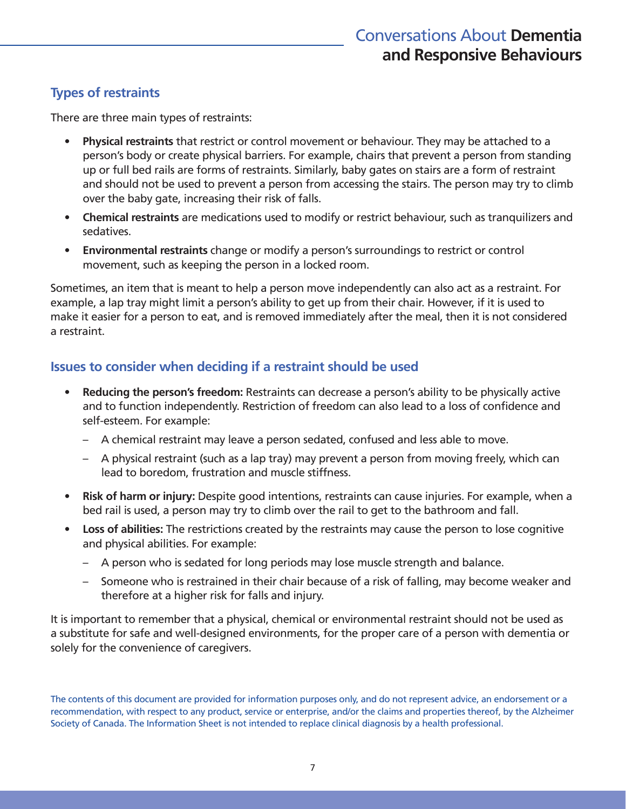#### **Types of restraints**

There are three main types of restraints:

- **• Physical restraints** that restrict or control movement or behaviour. They may be attached to a person's body or create physical barriers. For example, chairs that prevent a person from standing up or full bed rails are forms of restraints. Similarly, baby gates on stairs are a form of restraint and should not be used to prevent a person from accessing the stairs. The person may try to climb over the baby gate, increasing their risk of falls.
- **• Chemical restraints** are medications used to modify or restrict behaviour, such as tranquilizers and sedatives.
- **• Environmental restraints** change or modify a person's surroundings to restrict or control movement, such as keeping the person in a locked room.

Sometimes, an item that is meant to help a person move independently can also act as a restraint. For example, a lap tray might limit a person's ability to get up from their chair. However, if it is used to make it easier for a person to eat, and is removed immediately after the meal, then it is not considered a restraint.

#### **Issues to consider when deciding if a restraint should be used**

- **• Reducing the person's freedom:** Restraints can decrease a person's ability to be physically active and to function independently. Restriction of freedom can also lead to a loss of confidence and self-esteem. For example:
	- A chemical restraint may leave a person sedated, confused and less able to move.
	- A physical restraint (such as a lap tray) may prevent a person from moving freely, which can lead to boredom, frustration and muscle stiffness.
- **• Risk of harm or injury:** Despite good intentions, restraints can cause injuries. For example, when a bed rail is used, a person may try to climb over the rail to get to the bathroom and fall.
- **• Loss of abilities:** The restrictions created by the restraints may cause the person to lose cognitive and physical abilities. For example:
	- A person who is sedated for long periods may lose muscle strength and balance.
	- Someone who is restrained in their chair because of a risk of falling, may become weaker and therefore at a higher risk for falls and injury.

It is important to remember that a physical, chemical or environmental restraint should not be used as a substitute for safe and well-designed environments, for the proper care of a person with dementia or solely for the convenience of caregivers.

The contents of this document are provided for information purposes only, and do not represent advice, an endorsement or a recommendation, with respect to any product, service or enterprise, and/or the claims and properties thereof, by the Alzheimer Society of Canada. The Information Sheet is not intended to replace clinical diagnosis by a health professional.